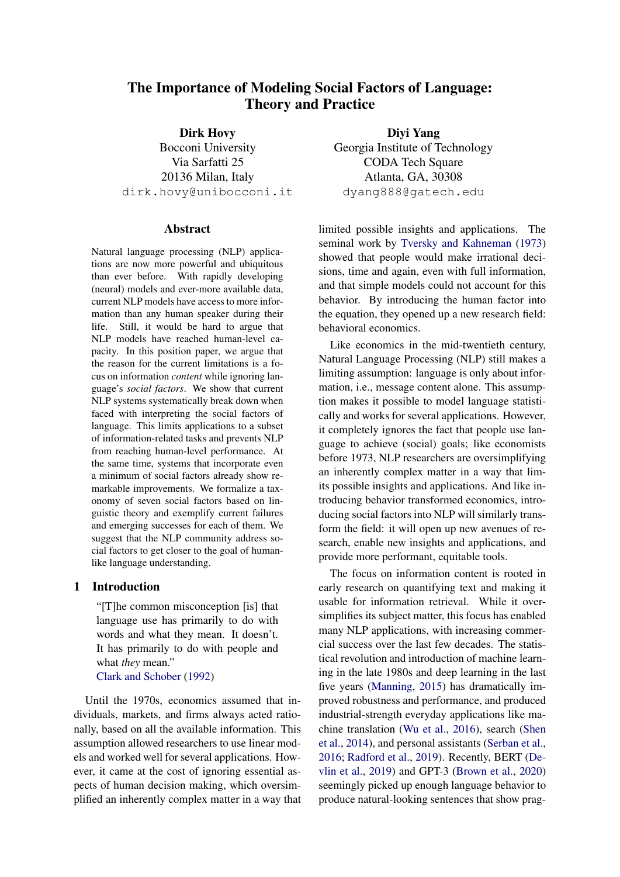# The Importance of Modeling Social Factors of Language: Theory and Practice

Dirk Hovy Bocconi University Via Sarfatti 25 20136 Milan, Italy dirk.hovy@unibocconi.it

## Abstract

Natural language processing (NLP) applications are now more powerful and ubiquitous than ever before. With rapidly developing (neural) models and ever-more available data, current NLP models have access to more information than any human speaker during their life. Still, it would be hard to argue that NLP models have reached human-level capacity. In this position paper, we argue that the reason for the current limitations is a focus on information *content* while ignoring language's *social factors*. We show that current NLP systems systematically break down when faced with interpreting the social factors of language. This limits applications to a subset of information-related tasks and prevents NLP from reaching human-level performance. At the same time, systems that incorporate even a minimum of social factors already show remarkable improvements. We formalize a taxonomy of seven social factors based on linguistic theory and exemplify current failures and emerging successes for each of them. We suggest that the NLP community address social factors to get closer to the goal of humanlike language understanding.

# 1 Introduction

"[T]he common misconception [is] that language use has primarily to do with words and what they mean. It doesn't. It has primarily to do with people and what *they* mean." [Clark and Schober](#page-9-0) [\(1992\)](#page-9-0)

Until the 1970s, economics assumed that individuals, markets, and firms always acted rationally, based on all the available information. This assumption allowed researchers to use linear models and worked well for several applications. However, it came at the cost of ignoring essential aspects of human decision making, which oversimplified an inherently complex matter in a way that

Diyi Yang Georgia Institute of Technology CODA Tech Square Atlanta, GA, 30308 dyang888@gatech.edu

limited possible insights and applications. The seminal work by [Tversky and Kahneman](#page-13-0) [\(1973\)](#page-13-0) showed that people would make irrational decisions, time and again, even with full information, and that simple models could not account for this behavior. By introducing the human factor into the equation, they opened up a new research field: behavioral economics.

Like economics in the mid-twentieth century, Natural Language Processing (NLP) still makes a limiting assumption: language is only about information, i.e., message content alone. This assumption makes it possible to model language statistically and works for several applications. However, it completely ignores the fact that people use language to achieve (social) goals; like economists before 1973, NLP researchers are oversimplifying an inherently complex matter in a way that limits possible insights and applications. And like introducing behavior transformed economics, introducing social factors into NLP will similarly transform the field: it will open up new avenues of research, enable new insights and applications, and provide more performant, equitable tools.

The focus on information content is rooted in early research on quantifying text and making it usable for information retrieval. While it oversimplifies its subject matter, this focus has enabled many NLP applications, with increasing commercial success over the last few decades. The statistical revolution and introduction of machine learning in the late 1980s and deep learning in the last five years [\(Manning,](#page-12-0) [2015\)](#page-12-0) has dramatically improved robustness and performance, and produced industrial-strength everyday applications like machine translation [\(Wu et al.,](#page-13-1) [2016\)](#page-13-1), search [\(Shen](#page-13-2) [et al.,](#page-13-2) [2014\)](#page-13-2), and personal assistants [\(Serban et al.,](#page-13-3) [2016;](#page-13-3) [Radford et al.,](#page-12-1) [2019\)](#page-12-1). Recently, BERT [\(De](#page-10-0)[vlin et al.,](#page-10-0) [2019\)](#page-10-0) and GPT-3 [\(Brown et al.,](#page-9-1) [2020\)](#page-9-1) seemingly picked up enough language behavior to produce natural-looking sentences that show prag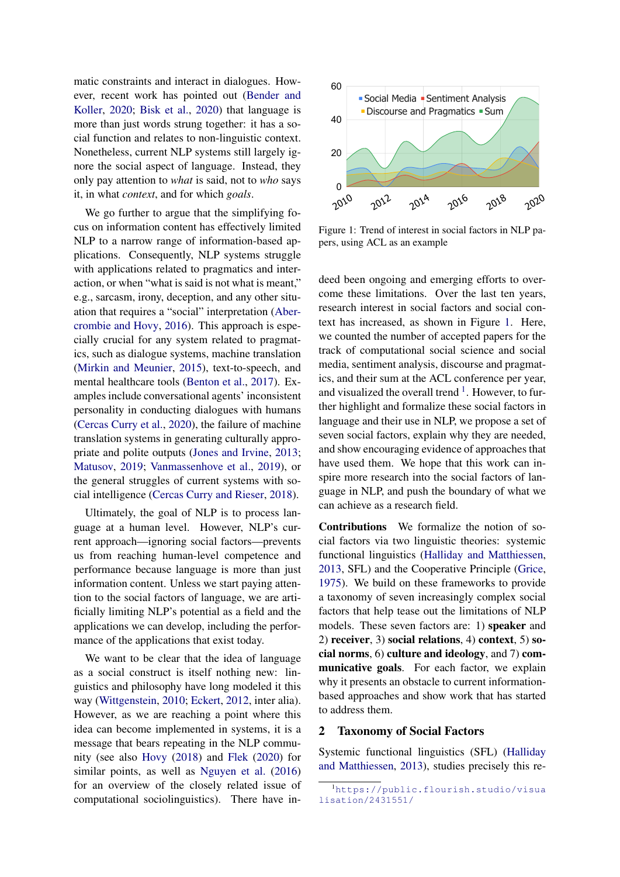matic constraints and interact in dialogues. However, recent work has pointed out [\(Bender and](#page-9-2) [Koller,](#page-9-2) [2020;](#page-9-2) [Bisk et al.,](#page-9-3) [2020\)](#page-9-3) that language is more than just words strung together: it has a social function and relates to non-linguistic context. Nonetheless, current NLP systems still largely ignore the social aspect of language. Instead, they only pay attention to *what* is said, not to *who* says it, in what *context*, and for which *goals*.

We go further to argue that the simplifying focus on information content has effectively limited NLP to a narrow range of information-based applications. Consequently, NLP systems struggle with applications related to pragmatics and interaction, or when "what is said is not what is meant," e.g., sarcasm, irony, deception, and any other situation that requires a "social" interpretation [\(Aber](#page-8-0)[crombie and Hovy,](#page-8-0) [2016\)](#page-8-0). This approach is especially crucial for any system related to pragmatics, such as dialogue systems, machine translation [\(Mirkin and Meunier,](#page-12-2) [2015\)](#page-12-2), text-to-speech, and mental healthcare tools [\(Benton et al.,](#page-9-4) [2017\)](#page-9-4). Examples include conversational agents' inconsistent personality in conducting dialogues with humans [\(Cercas Curry et al.,](#page-9-5) [2020\)](#page-9-5), the failure of machine translation systems in generating culturally appropriate and polite outputs [\(Jones and Irvine,](#page-11-0) [2013;](#page-11-0) [Matusov,](#page-12-3) [2019;](#page-12-3) [Vanmassenhove et al.,](#page-13-4) [2019\)](#page-13-4), or the general struggles of current systems with social intelligence [\(Cercas Curry and Rieser,](#page-9-6) [2018\)](#page-9-6).

Ultimately, the goal of NLP is to process language at a human level. However, NLP's current approach—ignoring social factors—prevents us from reaching human-level competence and performance because language is more than just information content. Unless we start paying attention to the social factors of language, we are artificially limiting NLP's potential as a field and the applications we can develop, including the performance of the applications that exist today.

We want to be clear that the idea of language as a social construct is itself nothing new: linguistics and philosophy have long modeled it this way [\(Wittgenstein,](#page-13-5) [2010;](#page-13-5) [Eckert,](#page-10-1) [2012,](#page-10-1) inter alia). However, as we are reaching a point where this idea can become implemented in systems, it is a message that bears repeating in the NLP community (see also [Hovy](#page-10-2) [\(2018\)](#page-10-2) and [Flek](#page-10-3) [\(2020\)](#page-10-3) for similar points, as well as [Nguyen et al.](#page-12-4) [\(2016\)](#page-12-4) for an overview of the closely related issue of computational sociolinguistics). There have in-

<span id="page-1-0"></span>

Figure 1: Trend of interest in social factors in NLP papers, using ACL as an example

deed been ongoing and emerging efforts to overcome these limitations. Over the last ten years, research interest in social factors and social context has increased, as shown in Figure [1.](#page-1-0) Here, we counted the number of accepted papers for the track of computational social science and social media, sentiment analysis, discourse and pragmatics, and their sum at the ACL conference per year, and visualized the overall trend  $<sup>1</sup>$  $<sup>1</sup>$  $<sup>1</sup>$ . However, to fur-</sup> ther highlight and formalize these social factors in language and their use in NLP, we propose a set of seven social factors, explain why they are needed, and show encouraging evidence of approaches that have used them. We hope that this work can inspire more research into the social factors of language in NLP, and push the boundary of what we can achieve as a research field.

Contributions We formalize the notion of social factors via two linguistic theories: systemic functional linguistics [\(Halliday and Matthiessen,](#page-10-4) [2013,](#page-10-4) SFL) and the Cooperative Principle [\(Grice,](#page-10-5) [1975\)](#page-10-5). We build on these frameworks to provide a taxonomy of seven increasingly complex social factors that help tease out the limitations of NLP models. These seven factors are: 1) speaker and 2) receiver, 3) social relations, 4) context, 5) social norms, 6) culture and ideology, and 7) communicative goals. For each factor, we explain why it presents an obstacle to current informationbased approaches and show work that has started to address them.

## 2 Taxonomy of Social Factors

Systemic functional linguistics (SFL) [\(Halliday](#page-10-4) [and Matthiessen,](#page-10-4) [2013\)](#page-10-4), studies precisely this re-

<span id="page-1-1"></span><sup>1</sup>[https://public.flourish.studio/visua](https://public.flourish.studio/visualisation/2431551/) [lisation/2431551/](https://public.flourish.studio/visualisation/2431551/)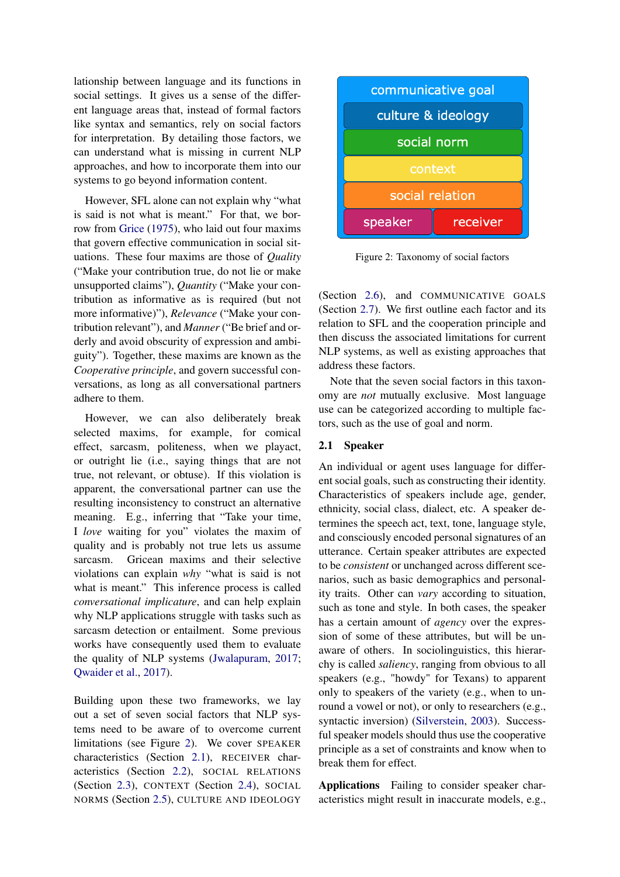lationship between language and its functions in social settings. It gives us a sense of the different language areas that, instead of formal factors like syntax and semantics, rely on social factors for interpretation. By detailing those factors, we can understand what is missing in current NLP approaches, and how to incorporate them into our systems to go beyond information content.

However, SFL alone can not explain why "what is said is not what is meant." For that, we borrow from [Grice](#page-10-5) [\(1975\)](#page-10-5), who laid out four maxims that govern effective communication in social situations. These four maxims are those of *Quality* ("Make your contribution true, do not lie or make unsupported claims"), *Quantity* ("Make your contribution as informative as is required (but not more informative)"), *Relevance* ("Make your contribution relevant"), and *Manner* ("Be brief and orderly and avoid obscurity of expression and ambiguity"). Together, these maxims are known as the *Cooperative principle*, and govern successful conversations, as long as all conversational partners adhere to them.

However, we can also deliberately break selected maxims, for example, for comical effect, sarcasm, politeness, when we playact, or outright lie (i.e., saying things that are not true, not relevant, or obtuse). If this violation is apparent, the conversational partner can use the resulting inconsistency to construct an alternative meaning. E.g., inferring that "Take your time, I *love* waiting for you" violates the maxim of quality and is probably not true lets us assume sarcasm. Gricean maxims and their selective violations can explain *why* "what is said is not what is meant." This inference process is called *conversational implicature*, and can help explain why NLP applications struggle with tasks such as sarcasm detection or entailment. Some previous works have consequently used them to evaluate the quality of NLP systems [\(Jwalapuram,](#page-11-1) [2017;](#page-11-1) [Qwaider et al.,](#page-12-5) [2017\)](#page-12-5).

Building upon these two frameworks, we lay out a set of seven social factors that NLP systems need to be aware of to overcome current limitations (see Figure [2\)](#page-2-0). We cover SPEAKER characteristics (Section [2.1\)](#page-2-1), RECEIVER characteristics (Section [2.2\)](#page-3-0), SOCIAL RELATIONS (Section [2.3\)](#page-3-1), CONTEXT (Section [2.4\)](#page-4-0), SOCIAL NORMS (Section [2.5\)](#page-5-0), CULTURE AND IDEOLOGY

<span id="page-2-0"></span>

Figure 2: Taxonomy of social factors

(Section [2.6\)](#page-6-0), and COMMUNICATIVE GOALS (Section [2.7\)](#page-6-1). We first outline each factor and its relation to SFL and the cooperation principle and then discuss the associated limitations for current NLP systems, as well as existing approaches that address these factors.

Note that the seven social factors in this taxonomy are *not* mutually exclusive. Most language use can be categorized according to multiple factors, such as the use of goal and norm.

## <span id="page-2-1"></span>2.1 Speaker

An individual or agent uses language for different social goals, such as constructing their identity. Characteristics of speakers include age, gender, ethnicity, social class, dialect, etc. A speaker determines the speech act, text, tone, language style, and consciously encoded personal signatures of an utterance. Certain speaker attributes are expected to be *consistent* or unchanged across different scenarios, such as basic demographics and personality traits. Other can *vary* according to situation, such as tone and style. In both cases, the speaker has a certain amount of *agency* over the expression of some of these attributes, but will be unaware of others. In sociolinguistics, this hierarchy is called *saliency*, ranging from obvious to all speakers (e.g., "howdy" for Texans) to apparent only to speakers of the variety (e.g., when to unround a vowel or not), or only to researchers (e.g., syntactic inversion) [\(Silverstein,](#page-13-6) [2003\)](#page-13-6). Successful speaker models should thus use the cooperative principle as a set of constraints and know when to break them for effect.

Applications Failing to consider speaker characteristics might result in inaccurate models, e.g.,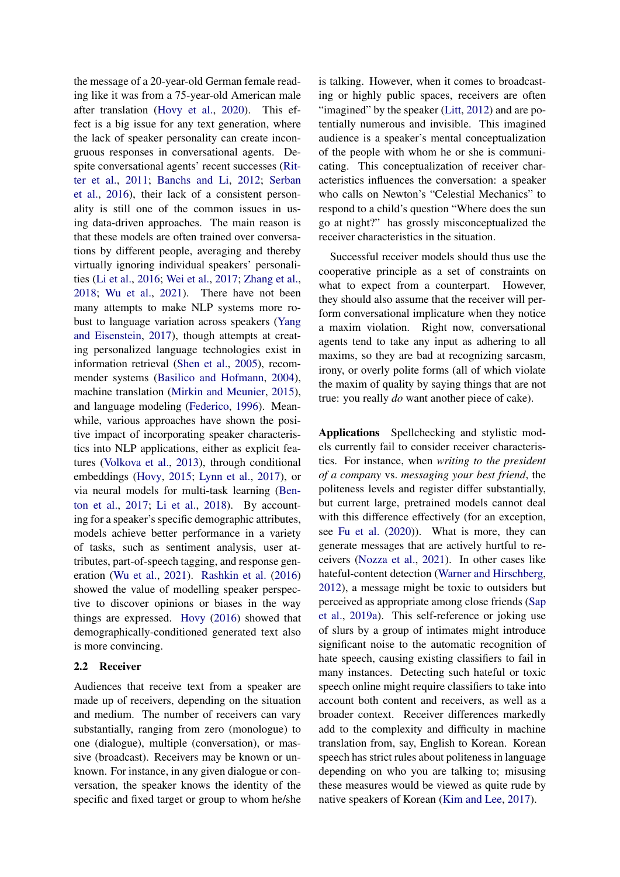the message of a 20-year-old German female reading like it was from a 75-year-old American male after translation [\(Hovy et al.,](#page-10-6) [2020\)](#page-10-6). This effect is a big issue for any text generation, where the lack of speaker personality can create incongruous responses in conversational agents. Despite conversational agents' recent successes [\(Rit](#page-12-6)[ter et al.,](#page-12-6) [2011;](#page-12-6) [Banchs and Li,](#page-8-1) [2012;](#page-8-1) [Serban](#page-13-3) [et al.,](#page-13-3) [2016\)](#page-13-3), their lack of a consistent personality is still one of the common issues in using data-driven approaches. The main reason is that these models are often trained over conversations by different people, averaging and thereby virtually ignoring individual speakers' personalities [\(Li et al.,](#page-11-2) [2016;](#page-11-2) [Wei et al.,](#page-13-7) [2017;](#page-13-7) [Zhang et al.,](#page-14-0) [2018;](#page-14-0) [Wu et al.,](#page-14-1) [2021\)](#page-14-1). There have not been many attempts to make NLP systems more robust to language variation across speakers [\(Yang](#page-14-2) [and Eisenstein,](#page-14-2) [2017\)](#page-14-2), though attempts at creating personalized language technologies exist in information retrieval [\(Shen et al.,](#page-13-8) [2005\)](#page-13-8), recommender systems [\(Basilico and Hofmann,](#page-8-2) [2004\)](#page-8-2), machine translation [\(Mirkin and Meunier,](#page-12-2) [2015\)](#page-12-2), and language modeling [\(Federico,](#page-10-7) [1996\)](#page-10-7). Meanwhile, various approaches have shown the positive impact of incorporating speaker characteristics into NLP applications, either as explicit features [\(Volkova et al.,](#page-13-9) [2013\)](#page-13-9), through conditional embeddings [\(Hovy,](#page-10-8) [2015;](#page-10-8) [Lynn et al.,](#page-11-3) [2017\)](#page-11-3), or via neural models for multi-task learning [\(Ben](#page-9-4)[ton et al.,](#page-9-4) [2017;](#page-9-4) [Li et al.,](#page-11-4) [2018\)](#page-11-4). By accounting for a speaker's specific demographic attributes, models achieve better performance in a variety of tasks, such as sentiment analysis, user attributes, part-of-speech tagging, and response generation [\(Wu et al.,](#page-14-1) [2021\)](#page-14-1). [Rashkin et al.](#page-12-7) [\(2016\)](#page-12-7) showed the value of modelling speaker perspective to discover opinions or biases in the way things are expressed. [Hovy](#page-10-9) [\(2016\)](#page-10-9) showed that demographically-conditioned generated text also is more convincing.

# <span id="page-3-0"></span>2.2 Receiver

<span id="page-3-1"></span>Audiences that receive text from a speaker are made up of receivers, depending on the situation and medium. The number of receivers can vary substantially, ranging from zero (monologue) to one (dialogue), multiple (conversation), or massive (broadcast). Receivers may be known or unknown. For instance, in any given dialogue or conversation, the speaker knows the identity of the specific and fixed target or group to whom he/she is talking. However, when it comes to broadcasting or highly public spaces, receivers are often "imagined" by the speaker [\(Litt,](#page-11-5) [2012\)](#page-11-5) and are potentially numerous and invisible. This imagined audience is a speaker's mental conceptualization of the people with whom he or she is communicating. This conceptualization of receiver characteristics influences the conversation: a speaker who calls on Newton's "Celestial Mechanics" to respond to a child's question "Where does the sun go at night?" has grossly misconceptualized the receiver characteristics in the situation.

Successful receiver models should thus use the cooperative principle as a set of constraints on what to expect from a counterpart. However, they should also assume that the receiver will perform conversational implicature when they notice a maxim violation. Right now, conversational agents tend to take any input as adhering to all maxims, so they are bad at recognizing sarcasm, irony, or overly polite forms (all of which violate the maxim of quality by saying things that are not true: you really *do* want another piece of cake).

Applications Spellchecking and stylistic models currently fail to consider receiver characteristics. For instance, when *writing to the president of a company* vs. *messaging your best friend*, the politeness levels and register differ substantially, but current large, pretrained models cannot deal with this difference effectively (for an exception, see [Fu et al.](#page-10-10) [\(2020\)](#page-10-10)). What is more, they can generate messages that are actively hurtful to receivers [\(Nozza et al.,](#page-12-8) [2021\)](#page-12-8). In other cases like hateful-content detection [\(Warner and Hirschberg,](#page-13-10) [2012\)](#page-13-10), a message might be toxic to outsiders but perceived as appropriate among close friends [\(Sap](#page-12-9) [et al.,](#page-12-9) [2019a\)](#page-12-9). This self-reference or joking use of slurs by a group of intimates might introduce significant noise to the automatic recognition of hate speech, causing existing classifiers to fail in many instances. Detecting such hateful or toxic speech online might require classifiers to take into account both content and receivers, as well as a broader context. Receiver differences markedly add to the complexity and difficulty in machine translation from, say, English to Korean. Korean speech has strict rules about politeness in language depending on who you are talking to; misusing these measures would be viewed as quite rude by native speakers of Korean [\(Kim and Lee,](#page-11-6) [2017\)](#page-11-6).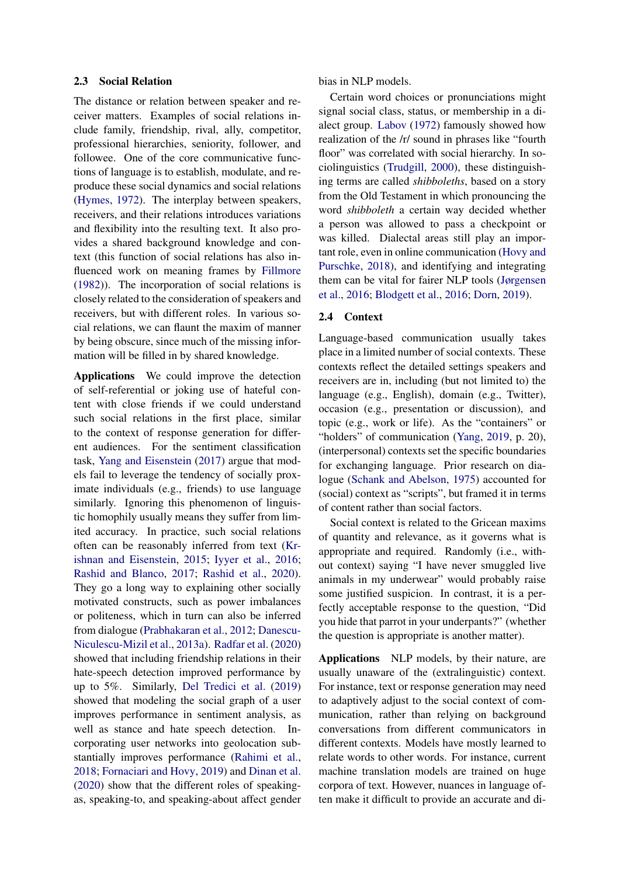#### 2.3 Social Relation

The distance or relation between speaker and receiver matters. Examples of social relations include family, friendship, rival, ally, competitor, professional hierarchies, seniority, follower, and followee. One of the core communicative functions of language is to establish, modulate, and reproduce these social dynamics and social relations [\(Hymes,](#page-11-7) [1972\)](#page-11-7). The interplay between speakers, receivers, and their relations introduces variations and flexibility into the resulting text. It also provides a shared background knowledge and context (this function of social relations has also influenced work on meaning frames by [Fillmore](#page-10-11) [\(1982\)](#page-10-11)). The incorporation of social relations is closely related to the consideration of speakers and receivers, but with different roles. In various social relations, we can flaunt the maxim of manner by being obscure, since much of the missing information will be filled in by shared knowledge.

Applications We could improve the detection of self-referential or joking use of hateful content with close friends if we could understand such social relations in the first place, similar to the context of response generation for different audiences. For the sentiment classification task, [Yang and Eisenstein](#page-14-2) [\(2017\)](#page-14-2) argue that models fail to leverage the tendency of socially proximate individuals (e.g., friends) to use language similarly. Ignoring this phenomenon of linguistic homophily usually means they suffer from limited accuracy. In practice, such social relations often can be reasonably inferred from text [\(Kr](#page-11-8)[ishnan and Eisenstein,](#page-11-8) [2015;](#page-11-8) [Iyyer et al.,](#page-11-9) [2016;](#page-11-9) [Rashid and Blanco,](#page-12-10) [2017;](#page-12-10) [Rashid et al.,](#page-12-11) [2020\)](#page-12-11). They go a long way to explaining other socially motivated constructs, such as power imbalances or politeness, which in turn can also be inferred from dialogue [\(Prabhakaran et al.,](#page-12-12) [2012;](#page-12-12) [Danescu-](#page-9-7)[Niculescu-Mizil et al.,](#page-9-7) [2013a\)](#page-9-7). [Radfar et al.](#page-12-13) [\(2020\)](#page-12-13) showed that including friendship relations in their hate-speech detection improved performance by up to 5%. Similarly, [Del Tredici et al.](#page-9-8) [\(2019\)](#page-9-8) showed that modeling the social graph of a user improves performance in sentiment analysis, as well as stance and hate speech detection. Incorporating user networks into geolocation substantially improves performance [\(Rahimi et al.,](#page-12-14) [2018;](#page-12-14) [Fornaciari and Hovy,](#page-10-12) [2019\)](#page-10-12) and [Dinan et al.](#page-10-13) [\(2020\)](#page-10-13) show that the different roles of speakingas, speaking-to, and speaking-about affect gender bias in NLP models.

Certain word choices or pronunciations might signal social class, status, or membership in a dialect group. [Labov](#page-11-10) [\(1972\)](#page-11-10) famously showed how realization of the /r/ sound in phrases like "fourth floor" was correlated with social hierarchy. In sociolinguistics [\(Trudgill,](#page-13-11) [2000\)](#page-13-11), these distinguishing terms are called *shibboleths*, based on a story from the Old Testament in which pronouncing the word *shibboleth* a certain way decided whether a person was allowed to pass a checkpoint or was killed. Dialectal areas still play an important role, even in online communication [\(Hovy and](#page-11-11) [Purschke,](#page-11-11) [2018\)](#page-11-11), and identifying and integrating them can be vital for fairer NLP tools [\(Jørgensen](#page-11-12) [et al.,](#page-11-12) [2016;](#page-11-12) [Blodgett et al.,](#page-9-9) [2016;](#page-9-9) [Dorn,](#page-10-14) [2019\)](#page-10-14).

## <span id="page-4-0"></span>2.4 Context

Language-based communication usually takes place in a limited number of social contexts. These contexts reflect the detailed settings speakers and receivers are in, including (but not limited to) the language (e.g., English), domain (e.g., Twitter), occasion (e.g., presentation or discussion), and topic (e.g., work or life). As the "containers" or "holders" of communication [\(Yang,](#page-14-3) [2019,](#page-14-3) p. 20), (interpersonal) contexts set the specific boundaries for exchanging language. Prior research on dialogue [\(Schank and Abelson,](#page-13-12) [1975\)](#page-13-12) accounted for (social) context as "scripts", but framed it in terms of content rather than social factors.

Social context is related to the Gricean maxims of quantity and relevance, as it governs what is appropriate and required. Randomly (i.e., without context) saying "I have never smuggled live animals in my underwear" would probably raise some justified suspicion. In contrast, it is a perfectly acceptable response to the question, "Did you hide that parrot in your underpants?" (whether the question is appropriate is another matter).

Applications NLP models, by their nature, are usually unaware of the (extralinguistic) context. For instance, text or response generation may need to adaptively adjust to the social context of communication, rather than relying on background conversations from different communicators in different contexts. Models have mostly learned to relate words to other words. For instance, current machine translation models are trained on huge corpora of text. However, nuances in language often make it difficult to provide an accurate and di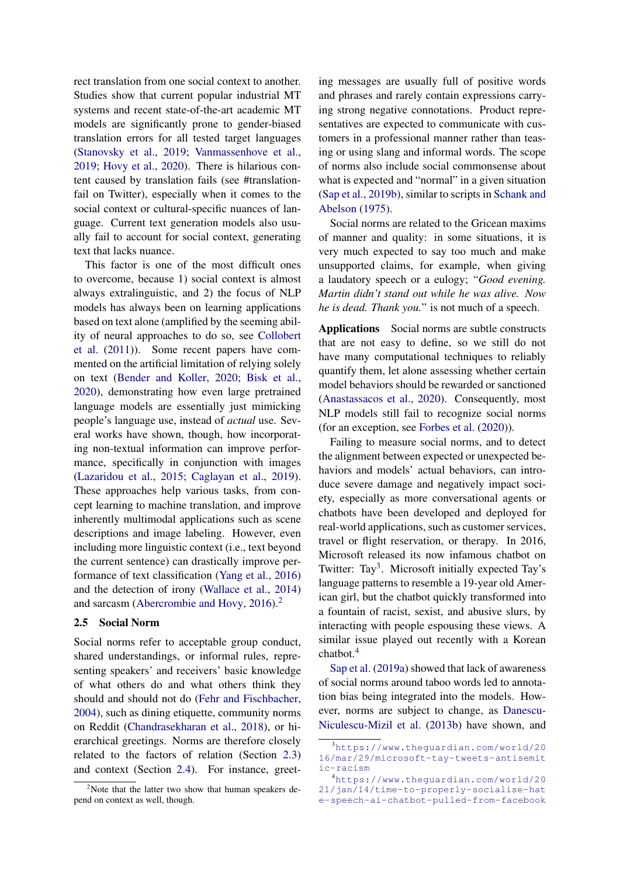rect translation from one social context to another. Studies show that current popular industrial MT systems and recent state-of-the-art academic MT models are significantly prone to gender-biased translation errors for all tested target languages [\(Stanovsky et al.,](#page-13-13) [2019;](#page-13-13) [Vanmassenhove et al.,](#page-13-4) [2019;](#page-13-4) [Hovy et al.,](#page-10-6) [2020\)](#page-10-6). There is hilarious content caused by translation fails (see #translationfail on Twitter), especially when it comes to the social context or cultural-specific nuances of language. Current text generation models also usually fail to account for social context, generating text that lacks nuance.

This factor is one of the most difficult ones to overcome, because 1) social context is almost always extralinguistic, and 2) the focus of NLP models has always been on learning applications based on text alone (amplified by the seeming ability of neural approaches to do so, see [Collobert](#page-9-10) [et al.](#page-9-10) [\(2011\)](#page-9-10)). Some recent papers have commented on the artificial limitation of relying solely on text [\(Bender and Koller,](#page-9-2) [2020;](#page-9-2) [Bisk et al.,](#page-9-3) [2020\)](#page-9-3), demonstrating how even large pretrained language models are essentially just mimicking people's language use, instead of *actual* use. Several works have shown, though, how incorporating non-textual information can improve performance, specifically in conjunction with images [\(Lazaridou et al.,](#page-11-13) [2015;](#page-11-13) [Caglayan et al.,](#page-9-11) [2019\)](#page-9-11). These approaches help various tasks, from concept learning to machine translation, and improve inherently multimodal applications such as scene descriptions and image labeling. However, even including more linguistic context (i.e., text beyond the current sentence) can drastically improve performance of text classification [\(Yang et al.,](#page-14-4) [2016\)](#page-14-4) and the detection of irony [\(Wallace et al.,](#page-13-14) [2014\)](#page-13-14) and sarcasm [\(Abercrombie and Hovy,](#page-8-0) [2016\)](#page-8-0).<sup>[2](#page-5-1)</sup>

## <span id="page-5-0"></span>2.5 Social Norm

Social norms refer to acceptable group conduct, shared understandings, or informal rules, representing speakers' and receivers' basic knowledge of what others do and what others think they should and should not do [\(Fehr and Fischbacher,](#page-10-15) [2004\)](#page-10-15), such as dining etiquette, community norms on Reddit [\(Chandrasekharan et al.,](#page-9-12) [2018\)](#page-9-12), or hierarchical greetings. Norms are therefore closely related to the factors of relation (Section [2.3\)](#page-3-1) and context (Section [2.4\)](#page-4-0). For instance, greeting messages are usually full of positive words and phrases and rarely contain expressions carrying strong negative connotations. Product representatives are expected to communicate with customers in a professional manner rather than teasing or using slang and informal words. The scope of norms also include social commonsense about what is expected and "normal" in a given situation [\(Sap et al.,](#page-13-15) [2019b\)](#page-13-15), similar to scripts in [Schank and](#page-13-12) [Abelson](#page-13-12) [\(1975\)](#page-13-12).

Social norms are related to the Gricean maxims of manner and quality: in some situations, it is very much expected to say too much and make unsupported claims, for example, when giving a laudatory speech or a eulogy; "*Good evening. Martin didn't stand out while he was alive. Now he is dead. Thank you.*" is not much of a speech.

Applications Social norms are subtle constructs that are not easy to define, so we still do not have many computational techniques to reliably quantify them, let alone assessing whether certain model behaviors should be rewarded or sanctioned [\(Anastassacos et al.,](#page-8-3) [2020\)](#page-8-3). Consequently, most NLP models still fail to recognize social norms (for an exception, see [Forbes et al.](#page-10-16) [\(2020\)](#page-10-16)).

Failing to measure social norms, and to detect the alignment between expected or unexpected behaviors and models' actual behaviors, can introduce severe damage and negatively impact society, especially as more conversational agents or chatbots have been developed and deployed for real-world applications, such as customer services, travel or flight reservation, or therapy. In 2016, Microsoft released its now infamous chatbot on Twitter: Tay<sup>[3](#page-5-2)</sup>. Microsoft initially expected Tay's language patterns to resemble a 19-year old American girl, but the chatbot quickly transformed into a fountain of racist, sexist, and abusive slurs, by interacting with people espousing these views. A similar issue played out recently with a Korean chatbot.<sup>[4](#page-5-3)</sup>

[Sap et al.](#page-12-9) [\(2019a\)](#page-12-9) showed that lack of awareness of social norms around taboo words led to annotation bias being integrated into the models. However, norms are subject to change, as [Danescu-](#page-9-13)[Niculescu-Mizil et al.](#page-9-13) [\(2013b\)](#page-9-13) have shown, and

<span id="page-5-1"></span><sup>&</sup>lt;sup>2</sup>Note that the latter two show that human speakers depend on context as well, though.

<span id="page-5-2"></span><sup>3</sup>[https://www.theguardian.com/world/20](https://www.theguardian.com/world/2016/mar/29/microsoft-tay-tweets-antisemitic-racism) [16/mar/29/microsoft-tay-tweets-antisemit](https://www.theguardian.com/world/2016/mar/29/microsoft-tay-tweets-antisemitic-racism) [ic-racism](https://www.theguardian.com/world/2016/mar/29/microsoft-tay-tweets-antisemitic-racism)

<span id="page-5-3"></span><sup>4</sup>[https://www.theguardian.com/world/20](https://www.theguardian.com/world/2021/jan/14/time-to-properly-socialise-hate-speech-ai-chatbot-pulled-from-facebook) [21/jan/14/time-to-properly-socialise-hat](https://www.theguardian.com/world/2021/jan/14/time-to-properly-socialise-hate-speech-ai-chatbot-pulled-from-facebook) [e-speech-ai-chatbot-pulled-from-facebook](https://www.theguardian.com/world/2021/jan/14/time-to-properly-socialise-hate-speech-ai-chatbot-pulled-from-facebook)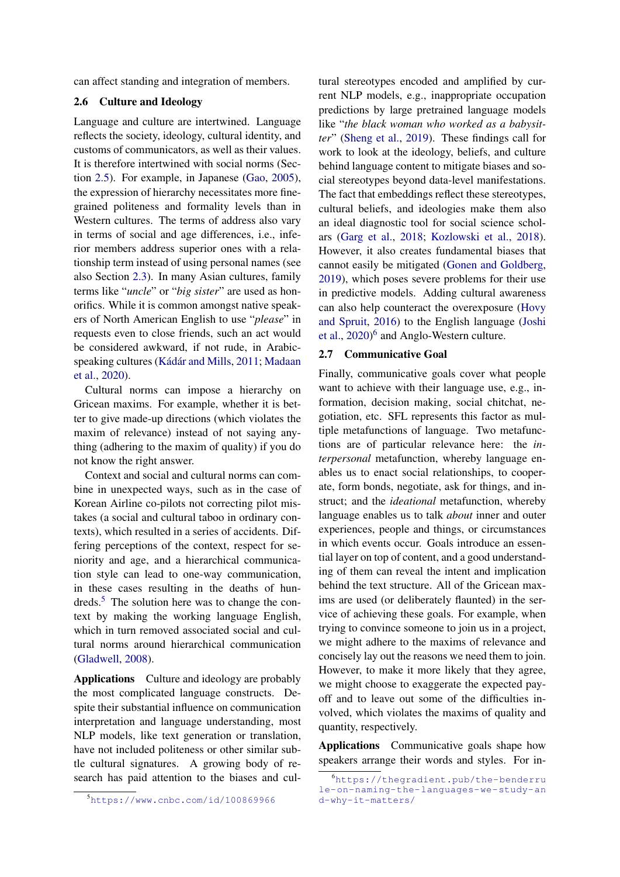<span id="page-6-0"></span>can affect standing and integration of members.

## 2.6 Culture and Ideology

Language and culture are intertwined. Language reflects the society, ideology, cultural identity, and customs of communicators, as well as their values. It is therefore intertwined with social norms (Section [2.5\)](#page-5-0). For example, in Japanese [\(Gao,](#page-10-17) [2005\)](#page-10-17), the expression of hierarchy necessitates more finegrained politeness and formality levels than in Western cultures. The terms of address also vary in terms of social and age differences, i.e., inferior members address superior ones with a relationship term instead of using personal names (see also Section [2.3\)](#page-3-1). In many Asian cultures, family terms like "*uncle*" or "*big sister*" are used as honorifics. While it is common amongst native speakers of North American English to use "*please*" in requests even to close friends, such an act would be considered awkward, if not rude, in Arabicspeaking cultures [\(Kádár and Mills,](#page-11-14) [2011;](#page-11-14) [Madaan](#page-12-15) [et al.,](#page-12-15) [2020\)](#page-12-15).

Cultural norms can impose a hierarchy on Gricean maxims. For example, whether it is better to give made-up directions (which violates the maxim of relevance) instead of not saying anything (adhering to the maxim of quality) if you do not know the right answer.

Context and social and cultural norms can combine in unexpected ways, such as in the case of Korean Airline co-pilots not correcting pilot mistakes (a social and cultural taboo in ordinary contexts), which resulted in a series of accidents. Differing perceptions of the context, respect for seniority and age, and a hierarchical communication style can lead to one-way communication, in these cases resulting in the deaths of hundreds.[5](#page-6-2) The solution here was to change the context by making the working language English, which in turn removed associated social and cultural norms around hierarchical communication [\(Gladwell,](#page-10-18) [2008\)](#page-10-18).

Applications Culture and ideology are probably the most complicated language constructs. Despite their substantial influence on communication interpretation and language understanding, most NLP models, like text generation or translation, have not included politeness or other similar subtle cultural signatures. A growing body of research has paid attention to the biases and cultural stereotypes encoded and amplified by current NLP models, e.g., inappropriate occupation predictions by large pretrained language models like "*the black woman who worked as a babysitter*" [\(Sheng et al.,](#page-13-16) [2019\)](#page-13-16). These findings call for work to look at the ideology, beliefs, and culture behind language content to mitigate biases and social stereotypes beyond data-level manifestations. The fact that embeddings reflect these stereotypes, cultural beliefs, and ideologies make them also an ideal diagnostic tool for social science scholars [\(Garg et al.,](#page-10-19) [2018;](#page-10-19) [Kozlowski et al.,](#page-11-15) [2018\)](#page-11-15). However, it also creates fundamental biases that cannot easily be mitigated [\(Gonen and Goldberg,](#page-10-20) [2019\)](#page-10-20), which poses severe problems for their use in predictive models. Adding cultural awareness can also help counteract the overexposure [\(Hovy](#page-11-16) [and Spruit,](#page-11-16) [2016\)](#page-11-16) to the English language [\(Joshi](#page-11-17) [et al.,](#page-11-17) [2020\)](#page-11-17)<sup>[6](#page-6-3)</sup> and Anglo-Western culture.

## <span id="page-6-1"></span>2.7 Communicative Goal

Finally, communicative goals cover what people want to achieve with their language use, e.g., information, decision making, social chitchat, negotiation, etc. SFL represents this factor as multiple metafunctions of language. Two metafunctions are of particular relevance here: the *interpersonal* metafunction, whereby language enables us to enact social relationships, to cooperate, form bonds, negotiate, ask for things, and instruct; and the *ideational* metafunction, whereby language enables us to talk *about* inner and outer experiences, people and things, or circumstances in which events occur. Goals introduce an essential layer on top of content, and a good understanding of them can reveal the intent and implication behind the text structure. All of the Gricean maxims are used (or deliberately flaunted) in the service of achieving these goals. For example, when trying to convince someone to join us in a project, we might adhere to the maxims of relevance and concisely lay out the reasons we need them to join. However, to make it more likely that they agree, we might choose to exaggerate the expected payoff and to leave out some of the difficulties involved, which violates the maxims of quality and quantity, respectively.

Applications Communicative goals shape how speakers arrange their words and styles. For in-

<span id="page-6-2"></span><sup>5</sup><https://www.cnbc.com/id/100869966>

<span id="page-6-3"></span><sup>6</sup>[https://thegradient.pub/the-benderru](https://thegradient.pub/the-benderrule-on-naming-the-languages-we-study-and-why-it-matters/) [le-on-naming-the-languages-we-study-an](https://thegradient.pub/the-benderrule-on-naming-the-languages-we-study-and-why-it-matters/) [d-why-it-matters/](https://thegradient.pub/the-benderrule-on-naming-the-languages-we-study-and-why-it-matters/)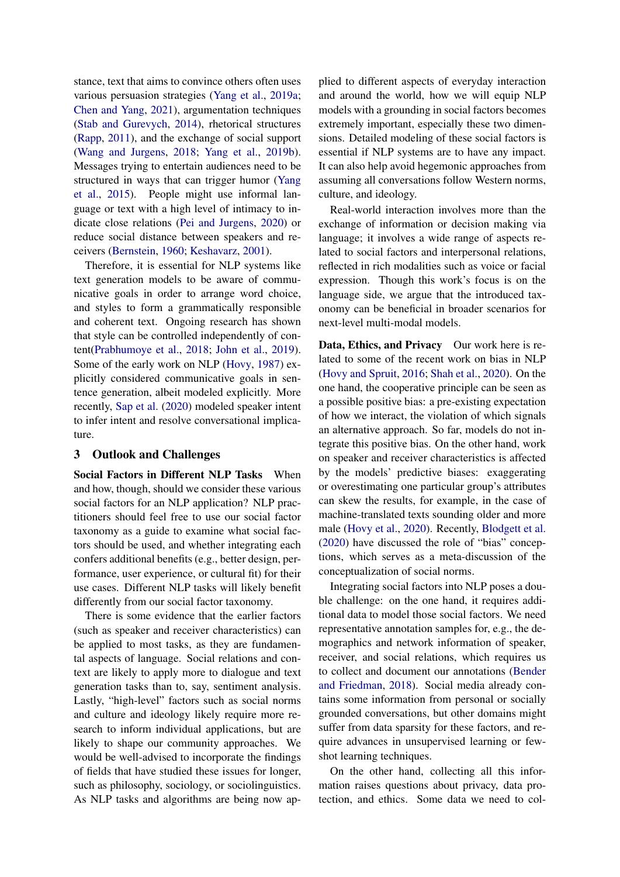stance, text that aims to convince others often uses various persuasion strategies [\(Yang et al.,](#page-14-5) [2019a;](#page-14-5) [Chen and Yang,](#page-9-14) [2021\)](#page-9-14), argumentation techniques [\(Stab and Gurevych,](#page-13-17) [2014\)](#page-13-17), rhetorical structures [\(Rapp,](#page-12-16) [2011\)](#page-12-16), and the exchange of social support [\(Wang and Jurgens,](#page-13-18) [2018;](#page-13-18) [Yang et al.,](#page-14-6) [2019b\)](#page-14-6). Messages trying to entertain audiences need to be structured in ways that can trigger humor [\(Yang](#page-14-7) [et al.,](#page-14-7) [2015\)](#page-14-7). People might use informal language or text with a high level of intimacy to indicate close relations [\(Pei and Jurgens,](#page-12-17) [2020\)](#page-12-17) or reduce social distance between speakers and receivers [\(Bernstein,](#page-9-15) [1960;](#page-9-15) [Keshavarz,](#page-11-18) [2001\)](#page-11-18).

Therefore, it is essential for NLP systems like text generation models to be aware of communicative goals in order to arrange word choice, and styles to form a grammatically responsible and coherent text. Ongoing research has shown that style can be controlled independently of content[\(Prabhumoye et al.,](#page-12-18) [2018;](#page-12-18) [John et al.,](#page-11-19) [2019\)](#page-11-19). Some of the early work on NLP [\(Hovy,](#page-11-20) [1987\)](#page-11-20) explicitly considered communicative goals in sentence generation, albeit modeled explicitly. More recently, [Sap et al.](#page-12-19) [\(2020\)](#page-12-19) modeled speaker intent to infer intent and resolve conversational implicature.

# 3 Outlook and Challenges

Social Factors in Different NLP Tasks When and how, though, should we consider these various social factors for an NLP application? NLP practitioners should feel free to use our social factor taxonomy as a guide to examine what social factors should be used, and whether integrating each confers additional benefits (e.g., better design, performance, user experience, or cultural fit) for their use cases. Different NLP tasks will likely benefit differently from our social factor taxonomy.

There is some evidence that the earlier factors (such as speaker and receiver characteristics) can be applied to most tasks, as they are fundamental aspects of language. Social relations and context are likely to apply more to dialogue and text generation tasks than to, say, sentiment analysis. Lastly, "high-level" factors such as social norms and culture and ideology likely require more research to inform individual applications, but are likely to shape our community approaches. We would be well-advised to incorporate the findings of fields that have studied these issues for longer, such as philosophy, sociology, or sociolinguistics. As NLP tasks and algorithms are being now applied to different aspects of everyday interaction and around the world, how we will equip NLP models with a grounding in social factors becomes extremely important, especially these two dimensions. Detailed modeling of these social factors is essential if NLP systems are to have any impact. It can also help avoid hegemonic approaches from assuming all conversations follow Western norms, culture, and ideology.

Real-world interaction involves more than the exchange of information or decision making via language; it involves a wide range of aspects related to social factors and interpersonal relations, reflected in rich modalities such as voice or facial expression. Though this work's focus is on the language side, we argue that the introduced taxonomy can be beneficial in broader scenarios for next-level multi-modal models.

Data, Ethics, and Privacy Our work here is related to some of the recent work on bias in NLP [\(Hovy and Spruit,](#page-11-16) [2016;](#page-11-16) [Shah et al.,](#page-13-19) [2020\)](#page-13-19). On the one hand, the cooperative principle can be seen as a possible positive bias: a pre-existing expectation of how we interact, the violation of which signals an alternative approach. So far, models do not integrate this positive bias. On the other hand, work on speaker and receiver characteristics is affected by the models' predictive biases: exaggerating or overestimating one particular group's attributes can skew the results, for example, in the case of machine-translated texts sounding older and more male [\(Hovy et al.,](#page-10-6) [2020\)](#page-10-6). Recently, [Blodgett et al.](#page-9-16) [\(2020\)](#page-9-16) have discussed the role of "bias" conceptions, which serves as a meta-discussion of the conceptualization of social norms.

Integrating social factors into NLP poses a double challenge: on the one hand, it requires additional data to model those social factors. We need representative annotation samples for, e.g., the demographics and network information of speaker, receiver, and social relations, which requires us to collect and document our annotations [\(Bender](#page-9-17) [and Friedman,](#page-9-17) [2018\)](#page-9-17). Social media already contains some information from personal or socially grounded conversations, but other domains might suffer from data sparsity for these factors, and require advances in unsupervised learning or fewshot learning techniques.

On the other hand, collecting all this information raises questions about privacy, data protection, and ethics. Some data we need to col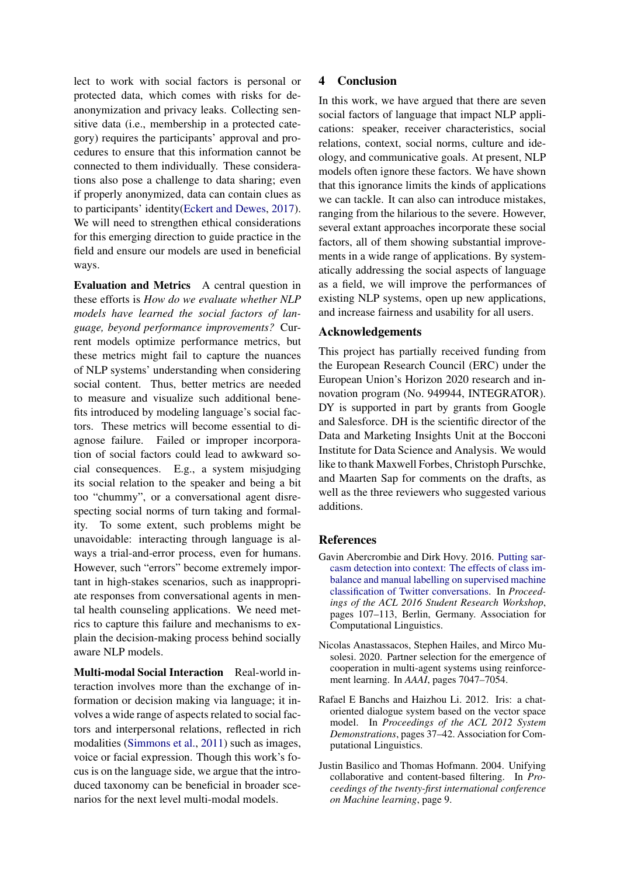lect to work with social factors is personal or protected data, which comes with risks for deanonymization and privacy leaks. Collecting sensitive data (i.e., membership in a protected category) requires the participants' approval and procedures to ensure that this information cannot be connected to them individually. These considerations also pose a challenge to data sharing; even if properly anonymized, data can contain clues as to participants' identity[\(Eckert and Dewes,](#page-10-21) [2017\)](#page-10-21). We will need to strengthen ethical considerations for this emerging direction to guide practice in the field and ensure our models are used in beneficial ways.

Evaluation and Metrics A central question in these efforts is *How do we evaluate whether NLP models have learned the social factors of language, beyond performance improvements?* Current models optimize performance metrics, but these metrics might fail to capture the nuances of NLP systems' understanding when considering social content. Thus, better metrics are needed to measure and visualize such additional benefits introduced by modeling language's social factors. These metrics will become essential to diagnose failure. Failed or improper incorporation of social factors could lead to awkward social consequences. E.g., a system misjudging its social relation to the speaker and being a bit too "chummy", or a conversational agent disrespecting social norms of turn taking and formality. To some extent, such problems might be unavoidable: interacting through language is always a trial-and-error process, even for humans. However, such "errors" become extremely important in high-stakes scenarios, such as inappropriate responses from conversational agents in mental health counseling applications. We need metrics to capture this failure and mechanisms to explain the decision-making process behind socially aware NLP models.

Multi-modal Social Interaction Real-world interaction involves more than the exchange of information or decision making via language; it involves a wide range of aspects related to social factors and interpersonal relations, reflected in rich modalities [\(Simmons et al.,](#page-13-20) [2011\)](#page-13-20) such as images, voice or facial expression. Though this work's focus is on the language side, we argue that the introduced taxonomy can be beneficial in broader scenarios for the next level multi-modal models.

# 4 Conclusion

In this work, we have argued that there are seven social factors of language that impact NLP applications: speaker, receiver characteristics, social relations, context, social norms, culture and ideology, and communicative goals. At present, NLP models often ignore these factors. We have shown that this ignorance limits the kinds of applications we can tackle. It can also can introduce mistakes, ranging from the hilarious to the severe. However, several extant approaches incorporate these social factors, all of them showing substantial improvements in a wide range of applications. By systematically addressing the social aspects of language as a field, we will improve the performances of existing NLP systems, open up new applications, and increase fairness and usability for all users.

## Acknowledgements

This project has partially received funding from the European Research Council (ERC) under the European Union's Horizon 2020 research and innovation program (No. 949944, INTEGRATOR). DY is supported in part by grants from Google and Salesforce. DH is the scientific director of the Data and Marketing Insights Unit at the Bocconi Institute for Data Science and Analysis. We would like to thank Maxwell Forbes, Christoph Purschke, and Maarten Sap for comments on the drafts, as well as the three reviewers who suggested various additions.

## References

- <span id="page-8-0"></span>Gavin Abercrombie and Dirk Hovy. 2016. [Putting sar](https://doi.org/10.18653/v1/P16-3016)[casm detection into context: The effects of class im](https://doi.org/10.18653/v1/P16-3016)[balance and manual labelling on supervised machine](https://doi.org/10.18653/v1/P16-3016) [classification of Twitter conversations.](https://doi.org/10.18653/v1/P16-3016) In *Proceedings of the ACL 2016 Student Research Workshop*, pages 107–113, Berlin, Germany. Association for Computational Linguistics.
- <span id="page-8-3"></span>Nicolas Anastassacos, Stephen Hailes, and Mirco Musolesi. 2020. Partner selection for the emergence of cooperation in multi-agent systems using reinforcement learning. In *AAAI*, pages 7047–7054.
- <span id="page-8-1"></span>Rafael E Banchs and Haizhou Li. 2012. Iris: a chatoriented dialogue system based on the vector space model. In *Proceedings of the ACL 2012 System Demonstrations*, pages 37–42. Association for Computational Linguistics.
- <span id="page-8-2"></span>Justin Basilico and Thomas Hofmann. 2004. Unifying collaborative and content-based filtering. In *Proceedings of the twenty-first international conference on Machine learning*, page 9.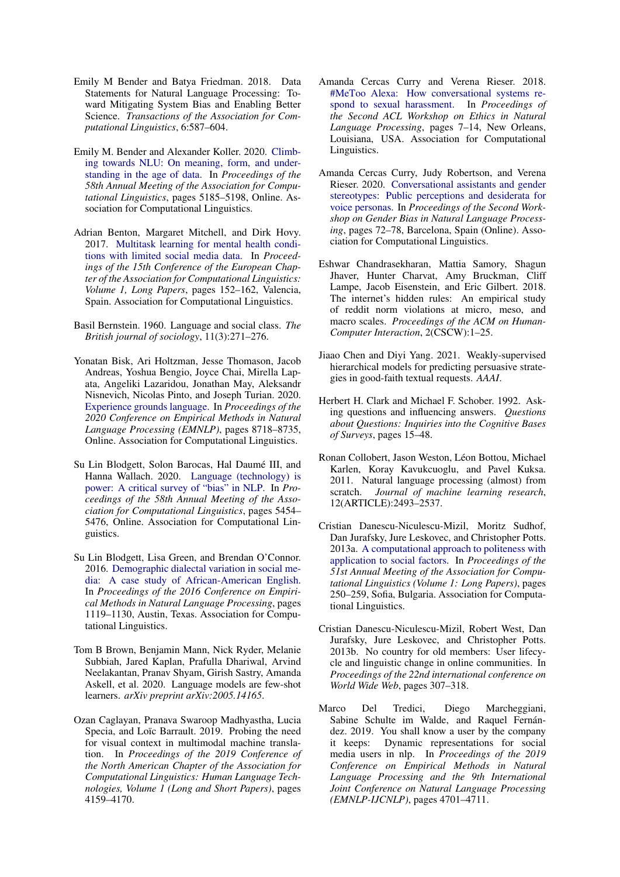- <span id="page-9-17"></span>Emily M Bender and Batya Friedman. 2018. Data Statements for Natural Language Processing: Toward Mitigating System Bias and Enabling Better Science. *Transactions of the Association for Computational Linguistics*, 6:587–604.
- <span id="page-9-2"></span>Emily M. Bender and Alexander Koller. 2020. [Climb](https://doi.org/10.18653/v1/2020.acl-main.463)[ing towards NLU: On meaning, form, and under](https://doi.org/10.18653/v1/2020.acl-main.463)[standing in the age of data.](https://doi.org/10.18653/v1/2020.acl-main.463) In *Proceedings of the 58th Annual Meeting of the Association for Computational Linguistics*, pages 5185–5198, Online. Association for Computational Linguistics.
- <span id="page-9-4"></span>Adrian Benton, Margaret Mitchell, and Dirk Hovy. 2017. [Multitask learning for mental health condi](https://www.aclweb.org/anthology/E17-1015)[tions with limited social media data.](https://www.aclweb.org/anthology/E17-1015) In *Proceedings of the 15th Conference of the European Chapter of the Association for Computational Linguistics: Volume 1, Long Papers*, pages 152–162, Valencia, Spain. Association for Computational Linguistics.
- <span id="page-9-15"></span>Basil Bernstein. 1960. Language and social class. *The British journal of sociology*, 11(3):271–276.
- <span id="page-9-3"></span>Yonatan Bisk, Ari Holtzman, Jesse Thomason, Jacob Andreas, Yoshua Bengio, Joyce Chai, Mirella Lapata, Angeliki Lazaridou, Jonathan May, Aleksandr Nisnevich, Nicolas Pinto, and Joseph Turian. 2020. [Experience grounds language.](https://doi.org/10.18653/v1/2020.emnlp-main.703) In *Proceedings of the 2020 Conference on Empirical Methods in Natural Language Processing (EMNLP)*, pages 8718–8735, Online. Association for Computational Linguistics.
- <span id="page-9-16"></span>Su Lin Blodgett, Solon Barocas, Hal Daumé III, and Hanna Wallach. 2020. [Language \(technology\) is](https://doi.org/10.18653/v1/2020.acl-main.485) [power: A critical survey of "bias" in NLP.](https://doi.org/10.18653/v1/2020.acl-main.485) In *Proceedings of the 58th Annual Meeting of the Association for Computational Linguistics*, pages 5454– 5476, Online. Association for Computational Linguistics.
- <span id="page-9-9"></span>Su Lin Blodgett, Lisa Green, and Brendan O'Connor. 2016. [Demographic dialectal variation in social me](https://doi.org/10.18653/v1/D16-1120)[dia: A case study of African-American English.](https://doi.org/10.18653/v1/D16-1120) In *Proceedings of the 2016 Conference on Empirical Methods in Natural Language Processing*, pages 1119–1130, Austin, Texas. Association for Computational Linguistics.
- <span id="page-9-1"></span>Tom B Brown, Benjamin Mann, Nick Ryder, Melanie Subbiah, Jared Kaplan, Prafulla Dhariwal, Arvind Neelakantan, Pranav Shyam, Girish Sastry, Amanda Askell, et al. 2020. Language models are few-shot learners. *arXiv preprint arXiv:2005.14165*.
- <span id="page-9-11"></span>Ozan Caglayan, Pranava Swaroop Madhyastha, Lucia Specia, and Loïc Barrault. 2019. Probing the need for visual context in multimodal machine translation. In *Proceedings of the 2019 Conference of the North American Chapter of the Association for Computational Linguistics: Human Language Technologies, Volume 1 (Long and Short Papers)*, pages 4159–4170.
- <span id="page-9-6"></span>Amanda Cercas Curry and Verena Rieser. 2018. [#MeToo Alexa: How conversational systems re](https://doi.org/10.18653/v1/W18-0802)[spond to sexual harassment.](https://doi.org/10.18653/v1/W18-0802) In *Proceedings of the Second ACL Workshop on Ethics in Natural Language Processing*, pages 7–14, New Orleans, Louisiana, USA. Association for Computational Linguistics.
- <span id="page-9-5"></span>Amanda Cercas Curry, Judy Robertson, and Verena Rieser. 2020. [Conversational assistants and gender](https://www.aclweb.org/anthology/2020.gebnlp-1.7) [stereotypes: Public perceptions and desiderata for](https://www.aclweb.org/anthology/2020.gebnlp-1.7) [voice personas.](https://www.aclweb.org/anthology/2020.gebnlp-1.7) In *Proceedings of the Second Workshop on Gender Bias in Natural Language Processing*, pages 72–78, Barcelona, Spain (Online). Association for Computational Linguistics.
- <span id="page-9-12"></span>Eshwar Chandrasekharan, Mattia Samory, Shagun Jhaver, Hunter Charvat, Amy Bruckman, Cliff Lampe, Jacob Eisenstein, and Eric Gilbert. 2018. The internet's hidden rules: An empirical study of reddit norm violations at micro, meso, and macro scales. *Proceedings of the ACM on Human-Computer Interaction*, 2(CSCW):1–25.
- <span id="page-9-14"></span>Jiaao Chen and Diyi Yang. 2021. Weakly-supervised hierarchical models for predicting persuasive strategies in good-faith textual requests. *AAAI*.
- <span id="page-9-0"></span>Herbert H. Clark and Michael F. Schober. 1992. Asking questions and influencing answers. *Questions about Questions: Inquiries into the Cognitive Bases of Surveys*, pages 15–48.
- <span id="page-9-10"></span>Ronan Collobert, Jason Weston, Léon Bottou, Michael Karlen, Koray Kavukcuoglu, and Pavel Kuksa. 2011. Natural language processing (almost) from scratch. *Journal of machine learning research*, 12(ARTICLE):2493–2537.
- <span id="page-9-7"></span>Cristian Danescu-Niculescu-Mizil, Moritz Sudhof, Dan Jurafsky, Jure Leskovec, and Christopher Potts. 2013a. [A computational approach to politeness with](https://www.aclweb.org/anthology/P13-1025) [application to social factors.](https://www.aclweb.org/anthology/P13-1025) In *Proceedings of the 51st Annual Meeting of the Association for Computational Linguistics (Volume 1: Long Papers)*, pages 250–259, Sofia, Bulgaria. Association for Computational Linguistics.
- <span id="page-9-13"></span>Cristian Danescu-Niculescu-Mizil, Robert West, Dan Jurafsky, Jure Leskovec, and Christopher Potts. 2013b. No country for old members: User lifecycle and linguistic change in online communities. In *Proceedings of the 22nd international conference on World Wide Web*, pages 307–318.
- <span id="page-9-8"></span>Marco Del Tredici, Diego Marcheggiani, Sabine Schulte im Walde, and Raquel Fernández. 2019. You shall know a user by the company it keeps: Dynamic representations for social media users in nlp. In *Proceedings of the 2019 Conference on Empirical Methods in Natural Language Processing and the 9th International Joint Conference on Natural Language Processing (EMNLP-IJCNLP)*, pages 4701–4711.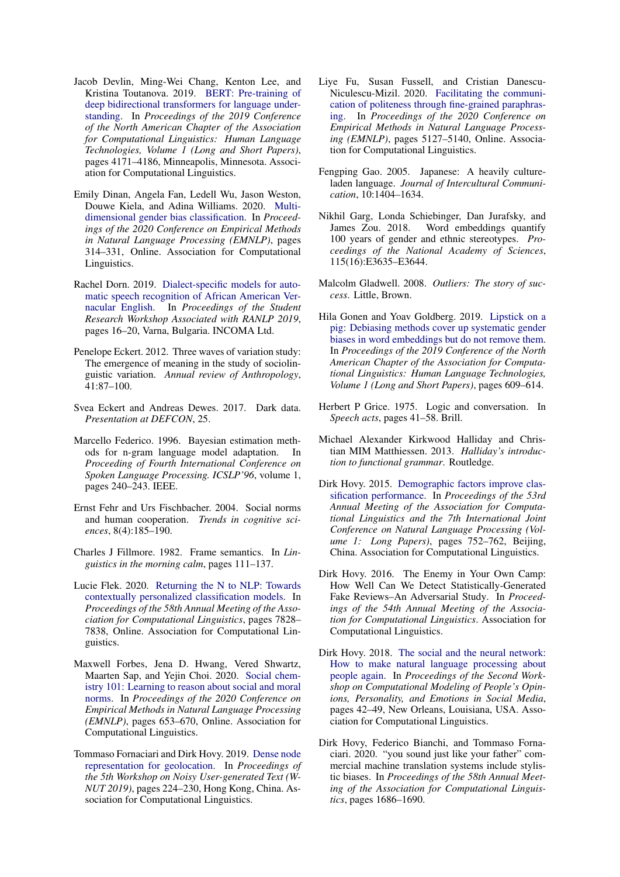- <span id="page-10-0"></span>Jacob Devlin, Ming-Wei Chang, Kenton Lee, and Kristina Toutanova. 2019. [BERT: Pre-training of](https://doi.org/10.18653/v1/N19-1423) [deep bidirectional transformers for language under](https://doi.org/10.18653/v1/N19-1423)[standing.](https://doi.org/10.18653/v1/N19-1423) In *Proceedings of the 2019 Conference of the North American Chapter of the Association for Computational Linguistics: Human Language Technologies, Volume 1 (Long and Short Papers)*, pages 4171–4186, Minneapolis, Minnesota. Association for Computational Linguistics.
- <span id="page-10-13"></span>Emily Dinan, Angela Fan, Ledell Wu, Jason Weston, Douwe Kiela, and Adina Williams. 2020. [Multi](https://www.aclweb.org/anthology/2020.emnlp-main.23)[dimensional gender bias classification.](https://www.aclweb.org/anthology/2020.emnlp-main.23) In *Proceedings of the 2020 Conference on Empirical Methods in Natural Language Processing (EMNLP)*, pages 314–331, Online. Association for Computational Linguistics.
- <span id="page-10-14"></span>Rachel Dorn. 2019. [Dialect-specific models for auto](https://doi.org/10.26615/issn.2603-2821.2019_003)[matic speech recognition of African American Ver](https://doi.org/10.26615/issn.2603-2821.2019_003)[nacular English.](https://doi.org/10.26615/issn.2603-2821.2019_003) In *Proceedings of the Student Research Workshop Associated with RANLP 2019*, pages 16–20, Varna, Bulgaria. INCOMA Ltd.
- <span id="page-10-1"></span>Penelope Eckert. 2012. Three waves of variation study: The emergence of meaning in the study of sociolinguistic variation. *Annual review of Anthropology*, 41:87–100.
- <span id="page-10-21"></span>Svea Eckert and Andreas Dewes. 2017. Dark data. *Presentation at DEFCON*, 25.
- <span id="page-10-7"></span>Marcello Federico. 1996. Bayesian estimation methods for n-gram language model adaptation. In *Proceeding of Fourth International Conference on Spoken Language Processing. ICSLP'96*, volume 1, pages 240–243. IEEE.
- <span id="page-10-15"></span>Ernst Fehr and Urs Fischbacher. 2004. Social norms and human cooperation. *Trends in cognitive sciences*, 8(4):185–190.
- <span id="page-10-11"></span>Charles J Fillmore. 1982. Frame semantics. In *Linguistics in the morning calm*, pages 111–137.
- <span id="page-10-3"></span>Lucie Flek. 2020. [Returning the N to NLP: Towards](https://doi.org/10.18653/v1/2020.acl-main.700) [contextually personalized classification models.](https://doi.org/10.18653/v1/2020.acl-main.700) In *Proceedings of the 58th Annual Meeting of the Association for Computational Linguistics*, pages 7828– 7838, Online. Association for Computational Linguistics.
- <span id="page-10-16"></span>Maxwell Forbes, Jena D. Hwang, Vered Shwartz, Maarten Sap, and Yejin Choi. 2020. [Social chem](https://www.aclweb.org/anthology/2020.emnlp-main.48)[istry 101: Learning to reason about social and moral](https://www.aclweb.org/anthology/2020.emnlp-main.48) [norms.](https://www.aclweb.org/anthology/2020.emnlp-main.48) In *Proceedings of the 2020 Conference on Empirical Methods in Natural Language Processing (EMNLP)*, pages 653–670, Online. Association for Computational Linguistics.
- <span id="page-10-12"></span>Tommaso Fornaciari and Dirk Hovy. 2019. [Dense node](https://doi.org/10.18653/v1/D19-5529) [representation for geolocation.](https://doi.org/10.18653/v1/D19-5529) In *Proceedings of the 5th Workshop on Noisy User-generated Text (W-NUT 2019)*, pages 224–230, Hong Kong, China. Association for Computational Linguistics.
- <span id="page-10-10"></span>Liye Fu, Susan Fussell, and Cristian Danescu-Niculescu-Mizil. 2020. [Facilitating the communi](https://www.aclweb.org/anthology/2020.emnlp-main.416)[cation of politeness through fine-grained paraphras](https://www.aclweb.org/anthology/2020.emnlp-main.416)[ing.](https://www.aclweb.org/anthology/2020.emnlp-main.416) In *Proceedings of the 2020 Conference on Empirical Methods in Natural Language Processing (EMNLP)*, pages 5127–5140, Online. Association for Computational Linguistics.
- <span id="page-10-17"></span>Fengping Gao. 2005. Japanese: A heavily cultureladen language. *Journal of Intercultural Communication*, 10:1404–1634.
- <span id="page-10-19"></span>Nikhil Garg, Londa Schiebinger, Dan Jurafsky, and James Zou. 2018. Word embeddings quantify 100 years of gender and ethnic stereotypes. *Proceedings of the National Academy of Sciences*, 115(16):E3635–E3644.
- <span id="page-10-18"></span>Malcolm Gladwell. 2008. *Outliers: The story of success*. Little, Brown.
- <span id="page-10-20"></span>Hila Gonen and Yoav Goldberg. 2019. [Lipstick on a](https://doi.org/10.18653/v1/N19-1061) [pig: Debiasing methods cover up systematic gender](https://doi.org/10.18653/v1/N19-1061) [biases in word embeddings but do not remove them.](https://doi.org/10.18653/v1/N19-1061) In *Proceedings of the 2019 Conference of the North American Chapter of the Association for Computational Linguistics: Human Language Technologies, Volume 1 (Long and Short Papers)*, pages 609–614.
- <span id="page-10-5"></span>Herbert P Grice. 1975. Logic and conversation. In *Speech acts*, pages 41–58. Brill.
- <span id="page-10-4"></span>Michael Alexander Kirkwood Halliday and Christian MIM Matthiessen. 2013. *Halliday's introduction to functional grammar*. Routledge.
- <span id="page-10-8"></span>Dirk Hovy. 2015. [Demographic factors improve clas](https://doi.org/10.3115/v1/P15-1073)[sification performance.](https://doi.org/10.3115/v1/P15-1073) In *Proceedings of the 53rd Annual Meeting of the Association for Computational Linguistics and the 7th International Joint Conference on Natural Language Processing (Volume 1: Long Papers)*, pages 752–762, Beijing, China. Association for Computational Linguistics.
- <span id="page-10-9"></span>Dirk Hovy. 2016. The Enemy in Your Own Camp: How Well Can We Detect Statistically-Generated Fake Reviews–An Adversarial Study. In *Proceedings of the 54th Annual Meeting of the Association for Computational Linguistics*. Association for Computational Linguistics.
- <span id="page-10-2"></span>Dirk Hovy. 2018. [The social and the neural network:](https://doi.org/10.18653/v1/W18-1106) [How to make natural language processing about](https://doi.org/10.18653/v1/W18-1106) [people again.](https://doi.org/10.18653/v1/W18-1106) In *Proceedings of the Second Workshop on Computational Modeling of People's Opinions, Personality, and Emotions in Social Media*, pages 42–49, New Orleans, Louisiana, USA. Association for Computational Linguistics.
- <span id="page-10-6"></span>Dirk Hovy, Federico Bianchi, and Tommaso Fornaciari. 2020. "you sound just like your father" commercial machine translation systems include stylistic biases. In *Proceedings of the 58th Annual Meeting of the Association for Computational Linguistics*, pages 1686–1690.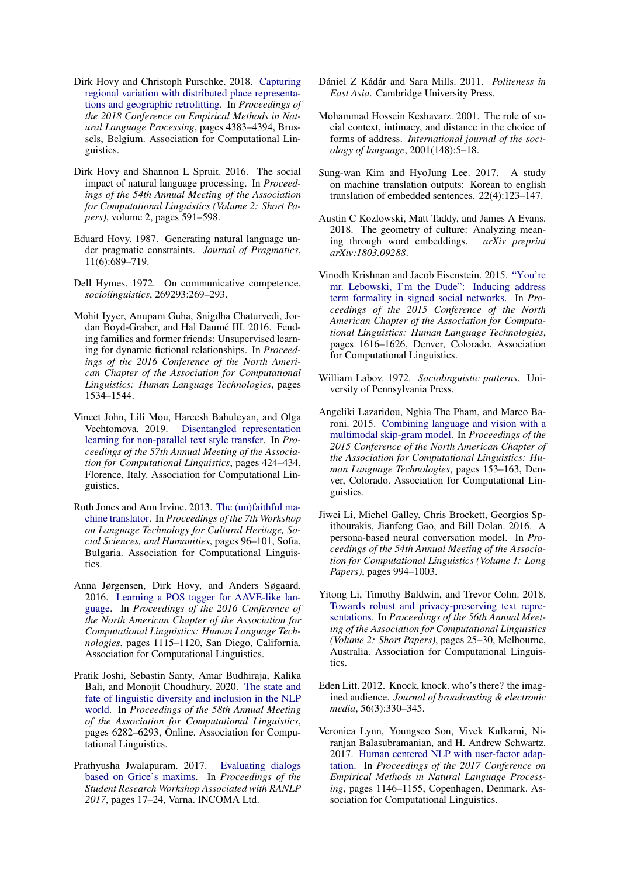- <span id="page-11-11"></span>Dirk Hovy and Christoph Purschke. 2018. [Capturing](https://doi.org/10.18653/v1/D18-1469) [regional variation with distributed place representa](https://doi.org/10.18653/v1/D18-1469)[tions and geographic retrofitting.](https://doi.org/10.18653/v1/D18-1469) In *Proceedings of the 2018 Conference on Empirical Methods in Natural Language Processing*, pages 4383–4394, Brussels, Belgium. Association for Computational Linguistics.
- <span id="page-11-16"></span>Dirk Hovy and Shannon L Spruit. 2016. The social impact of natural language processing. In *Proceedings of the 54th Annual Meeting of the Association for Computational Linguistics (Volume 2: Short Papers)*, volume 2, pages 591–598.
- <span id="page-11-20"></span>Eduard Hovy. 1987. Generating natural language under pragmatic constraints. *Journal of Pragmatics*, 11(6):689–719.
- <span id="page-11-7"></span>Dell Hymes. 1972. On communicative competence. *sociolinguistics*, 269293:269–293.
- <span id="page-11-9"></span>Mohit Iyyer, Anupam Guha, Snigdha Chaturvedi, Jordan Boyd-Graber, and Hal Daumé III. 2016. Feuding families and former friends: Unsupervised learning for dynamic fictional relationships. In *Proceedings of the 2016 Conference of the North American Chapter of the Association for Computational Linguistics: Human Language Technologies*, pages 1534–1544.
- <span id="page-11-19"></span>Vineet John, Lili Mou, Hareesh Bahuleyan, and Olga Vechtomova. 2019. [Disentangled representation](https://doi.org/10.18653/v1/P19-1041) [learning for non-parallel text style transfer.](https://doi.org/10.18653/v1/P19-1041) In *Proceedings of the 57th Annual Meeting of the Association for Computational Linguistics*, pages 424–434, Florence, Italy. Association for Computational Linguistics.
- <span id="page-11-0"></span>Ruth Jones and Ann Irvine. 2013. [The \(un\)faithful ma](https://www.aclweb.org/anthology/W13-2713)[chine translator.](https://www.aclweb.org/anthology/W13-2713) In *Proceedings of the 7th Workshop on Language Technology for Cultural Heritage, Social Sciences, and Humanities*, pages 96–101, Sofia, Bulgaria. Association for Computational Linguistics.
- <span id="page-11-12"></span>Anna Jørgensen, Dirk Hovy, and Anders Søgaard. 2016. [Learning a POS tagger for AAVE-like lan](https://doi.org/10.18653/v1/N16-1130)[guage.](https://doi.org/10.18653/v1/N16-1130) In *Proceedings of the 2016 Conference of the North American Chapter of the Association for Computational Linguistics: Human Language Technologies*, pages 1115–1120, San Diego, California. Association for Computational Linguistics.
- <span id="page-11-17"></span>Pratik Joshi, Sebastin Santy, Amar Budhiraja, Kalika Bali, and Monojit Choudhury. 2020. [The state and](https://doi.org/10.18653/v1/2020.acl-main.560) [fate of linguistic diversity and inclusion in the NLP](https://doi.org/10.18653/v1/2020.acl-main.560) [world.](https://doi.org/10.18653/v1/2020.acl-main.560) In *Proceedings of the 58th Annual Meeting of the Association for Computational Linguistics*, pages 6282–6293, Online. Association for Computational Linguistics.
- <span id="page-11-1"></span>Prathyusha Jwalapuram. 2017. [Evaluating dialogs](https://doi.org/10.26615/issn.1314-9156.2017_003) [based on Grice's maxims.](https://doi.org/10.26615/issn.1314-9156.2017_003) In *Proceedings of the Student Research Workshop Associated with RANLP 2017*, pages 17–24, Varna. INCOMA Ltd.
- <span id="page-11-14"></span>Dániel Z Kádár and Sara Mills. 2011. *Politeness in East Asia*. Cambridge University Press.
- <span id="page-11-18"></span>Mohammad Hossein Keshavarz. 2001. The role of social context, intimacy, and distance in the choice of forms of address. *International journal of the sociology of language*, 2001(148):5–18.
- <span id="page-11-6"></span>Sung-wan Kim and HyoJung Lee. 2017. A study on machine translation outputs: Korean to english translation of embedded sentences. 22(4):123–147.
- <span id="page-11-15"></span>Austin C Kozlowski, Matt Taddy, and James A Evans. 2018. The geometry of culture: Analyzing meaning through word embeddings. *arXiv preprint arXiv:1803.09288*.
- <span id="page-11-8"></span>Vinodh Krishnan and Jacob Eisenstein. 2015. ["You're](https://doi.org/10.3115/v1/N15-1185) [mr. Lebowski, I'm the Dude": Inducing address](https://doi.org/10.3115/v1/N15-1185) [term formality in signed social networks.](https://doi.org/10.3115/v1/N15-1185) In *Proceedings of the 2015 Conference of the North American Chapter of the Association for Computational Linguistics: Human Language Technologies*, pages 1616–1626, Denver, Colorado. Association for Computational Linguistics.
- <span id="page-11-10"></span>William Labov. 1972. *Sociolinguistic patterns*. University of Pennsylvania Press.
- <span id="page-11-13"></span>Angeliki Lazaridou, Nghia The Pham, and Marco Baroni. 2015. [Combining language and vision with a](https://doi.org/10.3115/v1/N15-1016) [multimodal skip-gram model.](https://doi.org/10.3115/v1/N15-1016) In *Proceedings of the 2015 Conference of the North American Chapter of the Association for Computational Linguistics: Human Language Technologies*, pages 153–163, Denver, Colorado. Association for Computational Linguistics.
- <span id="page-11-2"></span>Jiwei Li, Michel Galley, Chris Brockett, Georgios Spithourakis, Jianfeng Gao, and Bill Dolan. 2016. A persona-based neural conversation model. In *Proceedings of the 54th Annual Meeting of the Association for Computational Linguistics (Volume 1: Long Papers)*, pages 994–1003.
- <span id="page-11-4"></span>Yitong Li, Timothy Baldwin, and Trevor Cohn. 2018. [Towards robust and privacy-preserving text repre](https://doi.org/10.18653/v1/P18-2005)[sentations.](https://doi.org/10.18653/v1/P18-2005) In *Proceedings of the 56th Annual Meeting of the Association for Computational Linguistics (Volume 2: Short Papers)*, pages 25–30, Melbourne, Australia. Association for Computational Linguistics.
- <span id="page-11-5"></span>Eden Litt. 2012. Knock, knock. who's there? the imagined audience. *Journal of broadcasting & electronic media*, 56(3):330–345.
- <span id="page-11-3"></span>Veronica Lynn, Youngseo Son, Vivek Kulkarni, Niranjan Balasubramanian, and H. Andrew Schwartz. 2017. [Human centered NLP with user-factor adap](https://doi.org/10.18653/v1/D17-1119)[tation.](https://doi.org/10.18653/v1/D17-1119) In *Proceedings of the 2017 Conference on Empirical Methods in Natural Language Processing*, pages 1146–1155, Copenhagen, Denmark. Association for Computational Linguistics.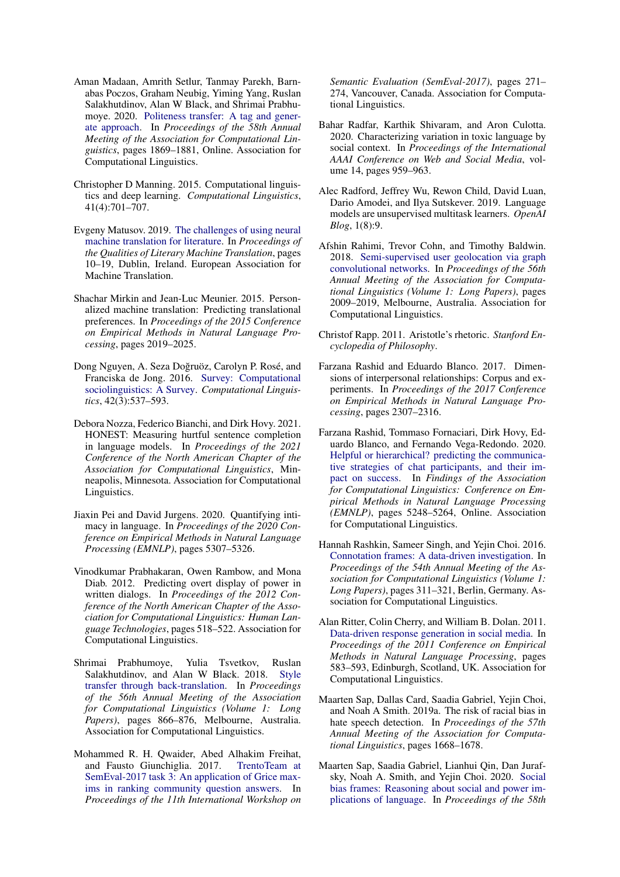- <span id="page-12-15"></span>Aman Madaan, Amrith Setlur, Tanmay Parekh, Barnabas Poczos, Graham Neubig, Yiming Yang, Ruslan Salakhutdinov, Alan W Black, and Shrimai Prabhumoye. 2020. [Politeness transfer: A tag and gener](https://doi.org/10.18653/v1/2020.acl-main.169)[ate approach.](https://doi.org/10.18653/v1/2020.acl-main.169) In *Proceedings of the 58th Annual Meeting of the Association for Computational Linguistics*, pages 1869–1881, Online. Association for Computational Linguistics.
- <span id="page-12-0"></span>Christopher D Manning. 2015. Computational linguistics and deep learning. *Computational Linguistics*, 41(4):701–707.
- <span id="page-12-3"></span>Evgeny Matusov. 2019. [The challenges of using neural](https://www.aclweb.org/anthology/W19-7302) [machine translation for literature.](https://www.aclweb.org/anthology/W19-7302) In *Proceedings of the Qualities of Literary Machine Translation*, pages 10–19, Dublin, Ireland. European Association for Machine Translation.
- <span id="page-12-2"></span>Shachar Mirkin and Jean-Luc Meunier. 2015. Personalized machine translation: Predicting translational preferences. In *Proceedings of the 2015 Conference on Empirical Methods in Natural Language Processing*, pages 2019–2025.
- <span id="page-12-4"></span>Dong Nguyen, A. Seza Dogruöz, Carolyn P. Rosé, and ˘ Franciska de Jong. 2016. [Survey: Computational](https://doi.org/10.1162/COLI_a_00258) [sociolinguistics: A Survey.](https://doi.org/10.1162/COLI_a_00258) *Computational Linguistics*, 42(3):537–593.
- <span id="page-12-8"></span>Debora Nozza, Federico Bianchi, and Dirk Hovy. 2021. HONEST: Measuring hurtful sentence completion in language models. In *Proceedings of the 2021 Conference of the North American Chapter of the Association for Computational Linguistics*, Minneapolis, Minnesota. Association for Computational Linguistics.
- <span id="page-12-17"></span>Jiaxin Pei and David Jurgens. 2020. Quantifying intimacy in language. In *Proceedings of the 2020 Conference on Empirical Methods in Natural Language Processing (EMNLP)*, pages 5307–5326.
- <span id="page-12-12"></span>Vinodkumar Prabhakaran, Owen Rambow, and Mona Diab. 2012. Predicting overt display of power in written dialogs. In *Proceedings of the 2012 Conference of the North American Chapter of the Association for Computational Linguistics: Human Language Technologies*, pages 518–522. Association for Computational Linguistics.
- <span id="page-12-18"></span>Shrimai Prabhumoye, Yulia Tsvetkov, Ruslan Salakhutdinov, and Alan W Black. 2018. [Style](https://doi.org/10.18653/v1/P18-1080) [transfer through back-translation.](https://doi.org/10.18653/v1/P18-1080) In *Proceedings of the 56th Annual Meeting of the Association for Computational Linguistics (Volume 1: Long Papers)*, pages 866–876, Melbourne, Australia. Association for Computational Linguistics.
- <span id="page-12-5"></span>Mohammed R. H. Qwaider, Abed Alhakim Freihat, and Fausto Giunchiglia. 2017. [TrentoTeam at](https://doi.org/10.18653/v1/S17-2043) [SemEval-2017 task 3: An application of Grice max](https://doi.org/10.18653/v1/S17-2043)[ims in ranking community question answers.](https://doi.org/10.18653/v1/S17-2043) In *Proceedings of the 11th International Workshop on*

*Semantic Evaluation (SemEval-2017)*, pages 271– 274, Vancouver, Canada. Association for Computational Linguistics.

- <span id="page-12-13"></span>Bahar Radfar, Karthik Shivaram, and Aron Culotta. 2020. Characterizing variation in toxic language by social context. In *Proceedings of the International AAAI Conference on Web and Social Media*, volume 14, pages 959–963.
- <span id="page-12-1"></span>Alec Radford, Jeffrey Wu, Rewon Child, David Luan, Dario Amodei, and Ilya Sutskever. 2019. Language models are unsupervised multitask learners. *OpenAI Blog*, 1(8):9.
- <span id="page-12-14"></span>Afshin Rahimi, Trevor Cohn, and Timothy Baldwin. 2018. [Semi-supervised user geolocation via graph](https://doi.org/10.18653/v1/P18-1187) [convolutional networks.](https://doi.org/10.18653/v1/P18-1187) In *Proceedings of the 56th Annual Meeting of the Association for Computational Linguistics (Volume 1: Long Papers)*, pages 2009–2019, Melbourne, Australia. Association for Computational Linguistics.
- <span id="page-12-16"></span>Christof Rapp. 2011. Aristotle's rhetoric. *Stanford Encyclopedia of Philosophy*.
- <span id="page-12-10"></span>Farzana Rashid and Eduardo Blanco. 2017. Dimensions of interpersonal relationships: Corpus and experiments. In *Proceedings of the 2017 Conference on Empirical Methods in Natural Language Processing*, pages 2307–2316.
- <span id="page-12-11"></span>Farzana Rashid, Tommaso Fornaciari, Dirk Hovy, Eduardo Blanco, and Fernando Vega-Redondo. 2020. [Helpful or hierarchical? predicting the communica](https://doi.org/10.18653/v1/2020.acl-main.468)[tive strategies of chat participants, and their im](https://doi.org/10.18653/v1/2020.acl-main.468)[pact on success.](https://doi.org/10.18653/v1/2020.acl-main.468) In *Findings of the Association for Computational Linguistics: Conference on Empirical Methods in Natural Language Processing (EMNLP)*, pages 5248–5264, Online. Association for Computational Linguistics.
- <span id="page-12-7"></span>Hannah Rashkin, Sameer Singh, and Yejin Choi. 2016. [Connotation frames: A data-driven investigation.](https://doi.org/10.18653/v1/P16-1030) In *Proceedings of the 54th Annual Meeting of the Association for Computational Linguistics (Volume 1: Long Papers)*, pages 311–321, Berlin, Germany. Association for Computational Linguistics.
- <span id="page-12-6"></span>Alan Ritter, Colin Cherry, and William B. Dolan. 2011. [Data-driven response generation in social media.](https://www.aclweb.org/anthology/D11-1054) In *Proceedings of the 2011 Conference on Empirical Methods in Natural Language Processing*, pages 583–593, Edinburgh, Scotland, UK. Association for Computational Linguistics.
- <span id="page-12-9"></span>Maarten Sap, Dallas Card, Saadia Gabriel, Yejin Choi, and Noah A Smith. 2019a. The risk of racial bias in hate speech detection. In *Proceedings of the 57th Annual Meeting of the Association for Computational Linguistics*, pages 1668–1678.
- <span id="page-12-19"></span>Maarten Sap, Saadia Gabriel, Lianhui Qin, Dan Jurafsky, Noah A. Smith, and Yejin Choi. 2020. [Social](https://doi.org/10.18653/v1/2020.acl-main.486) [bias frames: Reasoning about social and power im](https://doi.org/10.18653/v1/2020.acl-main.486)[plications of language.](https://doi.org/10.18653/v1/2020.acl-main.486) In *Proceedings of the 58th*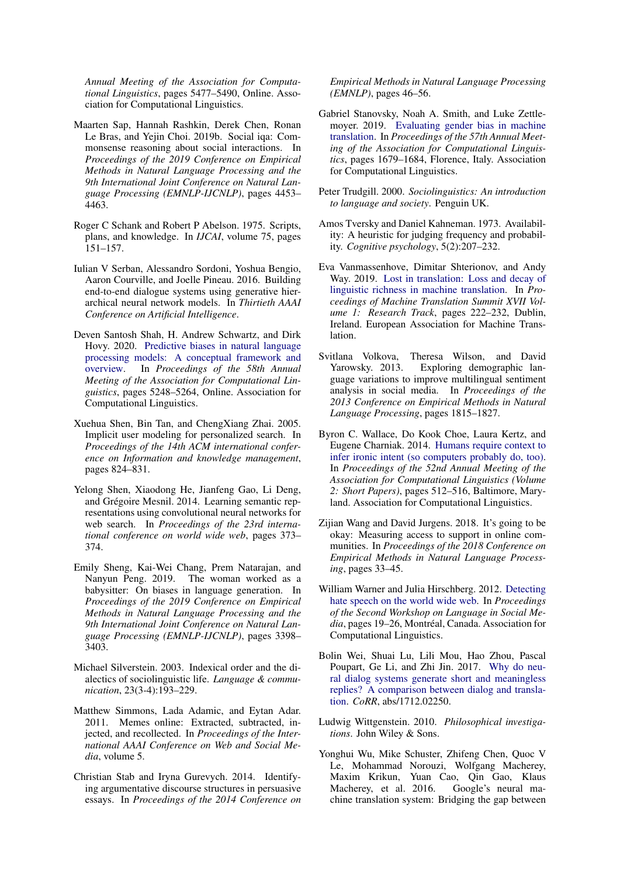*Annual Meeting of the Association for Computational Linguistics*, pages 5477–5490, Online. Association for Computational Linguistics.

- <span id="page-13-15"></span>Maarten Sap, Hannah Rashkin, Derek Chen, Ronan Le Bras, and Yejin Choi. 2019b. Social iqa: Commonsense reasoning about social interactions. In *Proceedings of the 2019 Conference on Empirical Methods in Natural Language Processing and the 9th International Joint Conference on Natural Language Processing (EMNLP-IJCNLP)*, pages 4453– 4463.
- <span id="page-13-12"></span>Roger C Schank and Robert P Abelson. 1975. Scripts, plans, and knowledge. In *IJCAI*, volume 75, pages 151–157.
- <span id="page-13-3"></span>Iulian V Serban, Alessandro Sordoni, Yoshua Bengio, Aaron Courville, and Joelle Pineau. 2016. Building end-to-end dialogue systems using generative hierarchical neural network models. In *Thirtieth AAAI Conference on Artificial Intelligence*.
- <span id="page-13-19"></span>Deven Santosh Shah, H. Andrew Schwartz, and Dirk Hovy. 2020. [Predictive biases in natural language](https://doi.org/10.18653/v1/2020.acl-main.468) [processing models: A conceptual framework and](https://doi.org/10.18653/v1/2020.acl-main.468) [overview.](https://doi.org/10.18653/v1/2020.acl-main.468) In *Proceedings of the 58th Annual Meeting of the Association for Computational Linguistics*, pages 5248–5264, Online. Association for Computational Linguistics.
- <span id="page-13-8"></span>Xuehua Shen, Bin Tan, and ChengXiang Zhai. 2005. Implicit user modeling for personalized search. In *Proceedings of the 14th ACM international conference on Information and knowledge management*, pages 824–831.
- <span id="page-13-2"></span>Yelong Shen, Xiaodong He, Jianfeng Gao, Li Deng, and Grégoire Mesnil. 2014. Learning semantic representations using convolutional neural networks for web search. In *Proceedings of the 23rd international conference on world wide web*, pages 373– 374.
- <span id="page-13-16"></span>Emily Sheng, Kai-Wei Chang, Prem Natarajan, and The woman worked as a babysitter: On biases in language generation. In *Proceedings of the 2019 Conference on Empirical Methods in Natural Language Processing and the 9th International Joint Conference on Natural Language Processing (EMNLP-IJCNLP)*, pages 3398– 3403.
- <span id="page-13-6"></span>Michael Silverstein. 2003. Indexical order and the dialectics of sociolinguistic life. *Language & communication*, 23(3-4):193–229.
- <span id="page-13-20"></span>Matthew Simmons, Lada Adamic, and Eytan Adar. 2011. Memes online: Extracted, subtracted, injected, and recollected. In *Proceedings of the International AAAI Conference on Web and Social Media*, volume 5.
- <span id="page-13-17"></span>Christian Stab and Iryna Gurevych. 2014. Identifying argumentative discourse structures in persuasive essays. In *Proceedings of the 2014 Conference on*

*Empirical Methods in Natural Language Processing (EMNLP)*, pages 46–56.

- <span id="page-13-13"></span>Gabriel Stanovsky, Noah A. Smith, and Luke Zettlemoyer. 2019. [Evaluating gender bias in machine](https://doi.org/10.18653/v1/P19-1164) [translation.](https://doi.org/10.18653/v1/P19-1164) In *Proceedings of the 57th Annual Meeting of the Association for Computational Linguistics*, pages 1679–1684, Florence, Italy. Association for Computational Linguistics.
- <span id="page-13-11"></span>Peter Trudgill. 2000. *Sociolinguistics: An introduction to language and society*. Penguin UK.
- <span id="page-13-0"></span>Amos Tversky and Daniel Kahneman. 1973. Availability: A heuristic for judging frequency and probability. *Cognitive psychology*, 5(2):207–232.
- <span id="page-13-4"></span>Eva Vanmassenhove, Dimitar Shterionov, and Andy Way. 2019. [Lost in translation: Loss and decay of](https://www.aclweb.org/anthology/W19-6622) [linguistic richness in machine translation.](https://www.aclweb.org/anthology/W19-6622) In *Proceedings of Machine Translation Summit XVII Volume 1: Research Track*, pages 222–232, Dublin, Ireland. European Association for Machine Translation.
- <span id="page-13-9"></span>Svitlana Volkova, Theresa Wilson, and David Yarowsky. 2013. Exploring demographic language variations to improve multilingual sentiment analysis in social media. In *Proceedings of the 2013 Conference on Empirical Methods in Natural Language Processing*, pages 1815–1827.
- <span id="page-13-14"></span>Byron C. Wallace, Do Kook Choe, Laura Kertz, and Eugene Charniak. 2014. [Humans require context to](https://doi.org/10.3115/v1/P14-2084) [infer ironic intent \(so computers probably do, too\).](https://doi.org/10.3115/v1/P14-2084) In *Proceedings of the 52nd Annual Meeting of the Association for Computational Linguistics (Volume 2: Short Papers)*, pages 512–516, Baltimore, Maryland. Association for Computational Linguistics.
- <span id="page-13-18"></span>Zijian Wang and David Jurgens. 2018. It's going to be okay: Measuring access to support in online communities. In *Proceedings of the 2018 Conference on Empirical Methods in Natural Language Processing*, pages 33–45.
- <span id="page-13-10"></span>William Warner and Julia Hirschberg. 2012. [Detecting](https://www.aclweb.org/anthology/W12-2103) [hate speech on the world wide web.](https://www.aclweb.org/anthology/W12-2103) In *Proceedings of the Second Workshop on Language in Social Media*, pages 19–26, Montréal, Canada. Association for Computational Linguistics.
- <span id="page-13-7"></span>Bolin Wei, Shuai Lu, Lili Mou, Hao Zhou, Pascal Poupart, Ge Li, and Zhi Jin. 2017. [Why do neu](http://arxiv.org/abs/1712.02250)[ral dialog systems generate short and meaningless](http://arxiv.org/abs/1712.02250) [replies? A comparison between dialog and transla](http://arxiv.org/abs/1712.02250)[tion.](http://arxiv.org/abs/1712.02250) *CoRR*, abs/1712.02250.
- <span id="page-13-5"></span>Ludwig Wittgenstein. 2010. *Philosophical investigations*. John Wiley & Sons.
- <span id="page-13-1"></span>Yonghui Wu, Mike Schuster, Zhifeng Chen, Quoc V Le, Mohammad Norouzi, Wolfgang Macherey, Maxim Krikun, Yuan Cao, Qin Gao, Klaus Macherey, et al. 2016. Google's neural machine translation system: Bridging the gap between